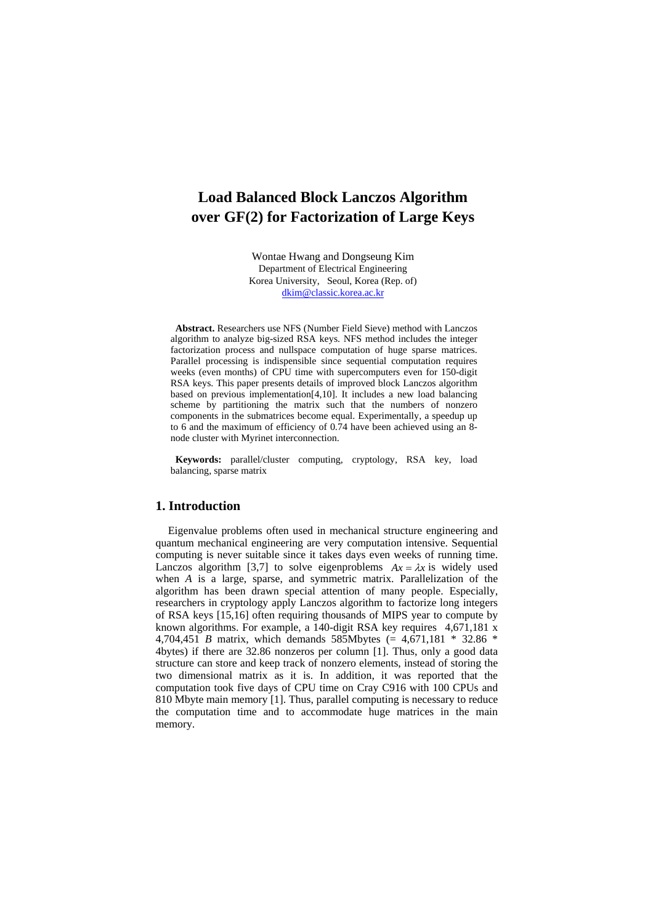# **Load Balanced Block Lanczos Algorithm over GF(2) for Factorization of Large Keys**

Wontae Hwang and Dongseung Kim Department of Electrical Engineering Korea University, Seoul, Korea (Rep. of) dkim@classic.korea.ac.kr

**Abstract.** Researchers use NFS (Number Field Sieve) method with Lanczos algorithm to analyze big-sized RSA keys. NFS method includes the integer factorization process and nullspace computation of huge sparse matrices. Parallel processing is indispensible since sequential computation requires weeks (even months) of CPU time with supercomputers even for 150-digit RSA keys. This paper presents details of improved block Lanczos algorithm based on previous implementation[4,10]. It includes a new load balancing scheme by partitioning the matrix such that the numbers of nonzero components in the submatrices become equal. Experimentally, a speedup up to 6 and the maximum of efficiency of 0.74 have been achieved using an 8 node cluster with Myrinet interconnection.

**Keywords:** parallel/cluster computing, cryptology, RSA key, load balancing, sparse matrix

## **1. Introduction**

Eigenvalue problems often used in mechanical structure engineering and quantum mechanical engineering are very computation intensive. Sequential computing is never suitable since it takes days even weeks of running time. Lanczos algorithm [3,7] to solve eigenproblems  $Ax = \lambda x$  is widely used when *A* is a large, sparse, and symmetric matrix. Parallelization of the algorithm has been drawn special attention of many people. Especially, researchers in cryptology apply Lanczos algorithm to factorize long integers of RSA keys [15,16] often requiring thousands of MIPS year to compute by known algorithms. For example, a 140-digit RSA key requires 4,671,181 x 4,704,451 *B* matrix, which demands 585Mbytes (= 4,671,181 \* 32.86 \* 4bytes) if there are 32.86 nonzeros per column [1]. Thus, only a good data structure can store and keep track of nonzero elements, instead of storing the two dimensional matrix as it is. In addition, it was reported that the computation took five days of CPU time on Cray C916 with 100 CPUs and 810 Mbyte main memory [1]. Thus, parallel computing is necessary to reduce the computation time and to accommodate huge matrices in the main memory.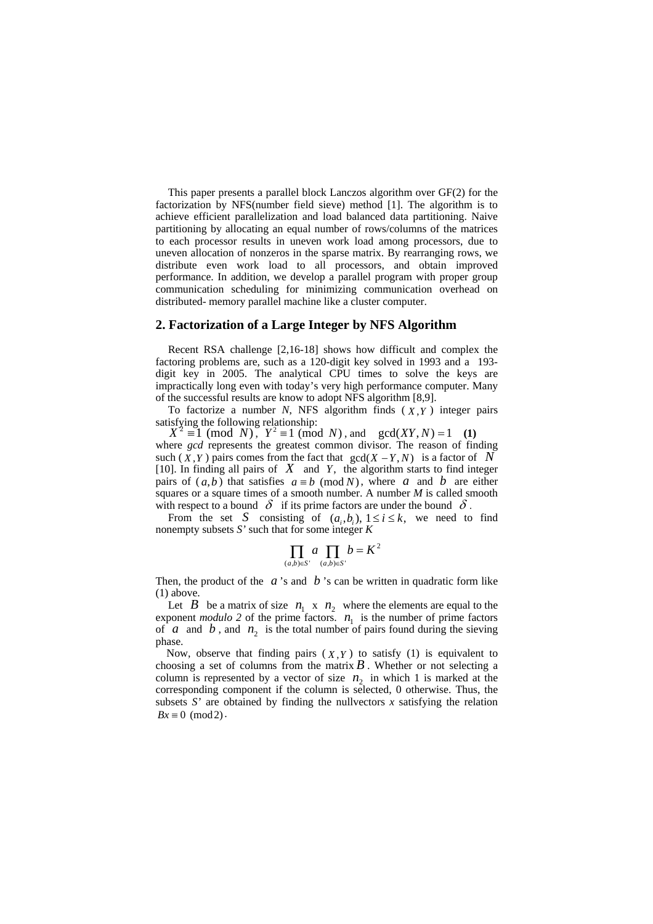This paper presents a parallel block Lanczos algorithm over GF(2) for the factorization by NFS(number field sieve) method [1]. The algorithm is to achieve efficient parallelization and load balanced data partitioning. Naive partitioning by allocating an equal number of rows/columns of the matrices to each processor results in uneven work load among processors, due to uneven allocation of nonzeros in the sparse matrix. By rearranging rows, we distribute even work load to all processors, and obtain improved performance. In addition, we develop a parallel program with proper group communication scheduling for minimizing communication overhead on distributed- memory parallel machine like a cluster computer.

#### **2. Factorization of a Large Integer by NFS Algorithm**

Recent RSA challenge [2,16-18] shows how difficult and complex the factoring problems are, such as a 120-digit key solved in 1993 and a 193 digit key in 2005. The analytical CPU times to solve the keys are impractically long even with today's very high performance computer. Many of the successful results are know to adopt NFS algorithm [8,9].

To factorize a number *N*, NFS algorithm finds ( *X* ,*Y* ) integer pairs satisfying the following relationship:

 $X^2 \equiv 1 \pmod{N}$ ,  $Y^2 \equiv 1 \pmod{N}$ , and  $gcd(XY, N) = 1$  (1) where *gcd* represents the greatest common divisor. The reason of finding such ( $X, Y$ ) pairs comes from the fact that  $gcd(X - Y, N)$  is a factor of *N* [10]. In finding all pairs of *X* and *Y*, the algorithm starts to find integer pairs of  $(a,b)$  that satisfies  $a \equiv b \pmod{N}$ , where *a* and *b* are either squares or a square times of a smooth number. A number *M* is called smooth with respect to a bound  $\delta$  if its prime factors are under the bound  $\delta$ .

From the set *S* consisting of  $(a_i, b_i)$ ,  $1 \le i \le k$ , we need to find nonempty subsets *S'* such that for some integer *K*

$$
\prod_{(a,b)\in S'} a \prod_{(a,b)\in S'} b = K^2
$$

Then, the product of the  $a$ 's and  $b$ 's can be written in quadratic form like (1) above.

Let *B* be a matrix of size  $n_1 \times n_2$  where the elements are equal to the exponent *modulo* 2 of the prime factors.  $n_1$  is the number of prime factors of *a* and *b*, and  $n_2$  is the total number of pairs found during the sieving phase.

Now, observe that finding pairs  $(X, Y)$  to satisfy  $(1)$  is equivalent to choosing a set of columns from the matrix  $B$ . Whether or not selecting a column is represented by a vector of size  $n<sub>2</sub>$  in which 1 is marked at the corresponding component if the column is selected, 0 otherwise. Thus, the subsets  $S'$  are obtained by finding the nullvectors  $x$  satisfying the relation  $Bx \equiv 0 \pmod{2}$ .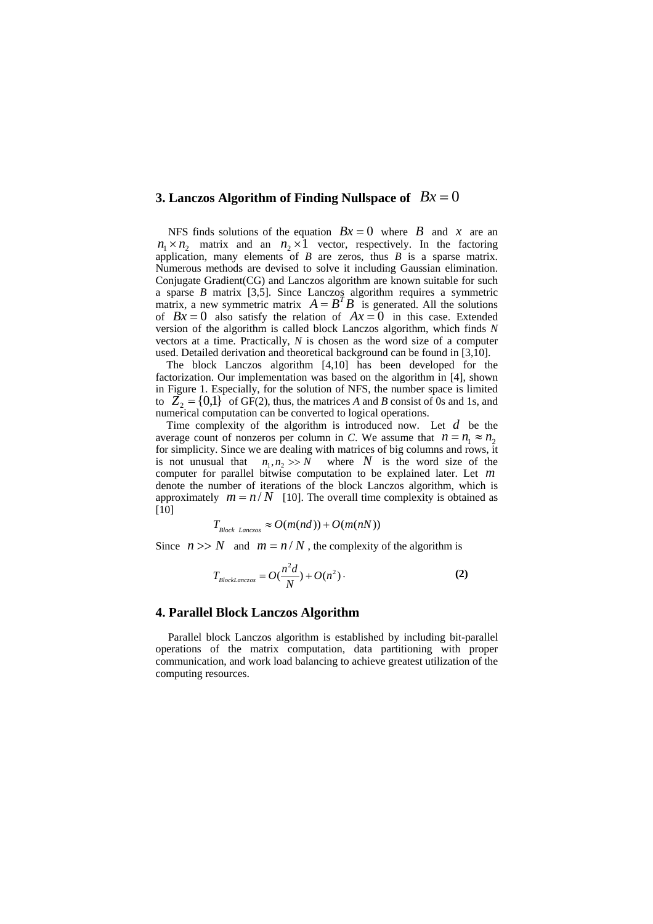# **3. Lanczos Algorithm of Finding Nullspace of**  $Bx = 0$

NFS finds solutions of the equation  $Bx = 0$  where *B* and *x* are an  $n_1 \times n_2$  matrix and an  $n_2 \times 1$  vector, respectively. In the factoring application, many elements of  $B$  are zeros, thus  $B$  is a sparse matrix. Numerous methods are devised to solve it including Gaussian elimination. Conjugate Gradient(CG) and Lanczos algorithm are known suitable for such a sparse *B* matrix [3,5]. Since Lanczos algorithm requires a symmetric matrix, a new symmetric matrix  $A = B^T B$  is generated. All the solutions of  $Bx = 0$  also satisfy the relation of  $Ax = 0$  in this case. Extended version of the algorithm is called block Lanczos algorithm, which finds *N* vectors at a time. Practically, *N* is chosen as the word size of a computer used. Detailed derivation and theoretical background can be found in [3,10].

The block Lanczos algorithm [4,10] has been developed for the factorization. Our implementation was based on the algorithm in [4], shown in Figure 1. Especially, for the solution of NFS, the number space is limited to  $\overline{Z}_2 = \{0,1\}$  of GF(2), thus, the matrices *A* and *B* consist of 0s and 1s, and numerical computation can be converted to logical operations.

Time complexity of the algorithm is introduced now. Let *d* be the average count of nonzeros per column in *C*. We assume that  $n = n_1 \approx n_2$ for simplicity. Since we are dealing with matrices of big columns and rows, it is not unusual that  $n_1, n_2 >> N$  where N is the word size of the computer for parallel bitwise computation to be explained later. Let *m* denote the number of iterations of the block Lanczos algorithm, which is approximately  $m = n/N$  [10]. The overall time complexity is obtained as [10]

$$
T_{Block\text{ }Lanczos} \approx O(m(nd)) + O(m(nN))
$$

Since  $n \gg N$  and  $m = n/N$ , the complexity of the algorithm is

$$
T_{BlockLanczos} = O(\frac{n^2d}{N}) + O(n^2).
$$
 (2)

#### **4. Parallel Block Lanczos Algorithm**

Parallel block Lanczos algorithm is established by including bit-parallel operations of the matrix computation, data partitioning with proper communication, and work load balancing to achieve greatest utilization of the computing resources.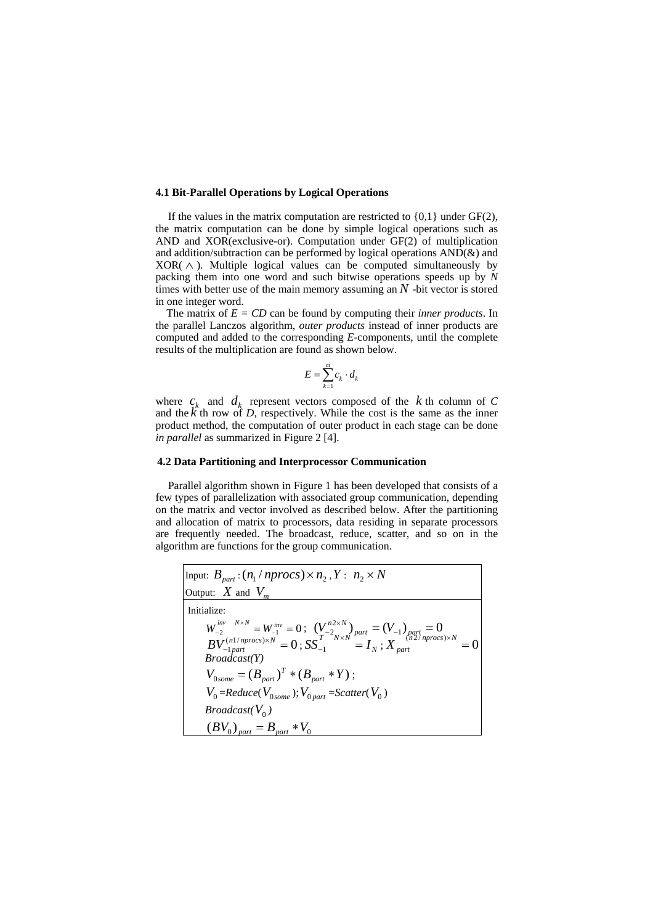#### **4.1 Bit-Parallel Operations by Logical Operations**

If the values in the matrix computation are restricted to  $\{0,1\}$  under  $GF(2)$ , the matrix computation can be done by simple logical operations such as AND and XOR(exclusive-or). Computation under GF(2) of multiplication and addition/subtraction can be performed by logical operations AND(&) and  $XOR(\wedge)$ . Multiple logical values can be computed simultaneously by packing them into one word and such bitwise operations speeds up by *N* times with better use of the main memory assuming an  $N$  -bit vector is stored in one integer word.

The matrix of *E = CD* can be found by computing their *inner products*. In the parallel Lanczos algorithm, *outer products* instead of inner products are computed and added to the corresponding *E*-components, until the complete results of the multiplication are found as shown below.

$$
E = \sum_{k=1}^{m} c_k \cdot d_k
$$

where  $c_k$  and  $d_k$  represent vectors composed of the  $k$  th column of  $C$ and the  $\hat{k}$  th row of *D*, respectively. While the cost is the same as the inner product method, the computation of outer product in each stage can be done *in parallel* as summarized in Figure 2 [4].

#### **4.2 Data Partitioning and Interprocessor Communication**

Parallel algorithm shown in Figure 1 has been developed that consists of a few types of parallelization with associated group communication, depending on the matrix and vector involved as described below. After the partitioning and allocation of matrix to processors, data residing in separate processors are frequently needed. The broadcast, reduce, scatter, and so on in the algorithm are functions for the group communication.

| Input: $B_{part}$ : $(n_1/nprocs) \times n_2$ , $Y: n_2 \times N$                                                                                                                                                                             |
|-----------------------------------------------------------------------------------------------------------------------------------------------------------------------------------------------------------------------------------------------|
| Output: $X$ and $V_m$                                                                                                                                                                                                                         |
| Initialize:                                                                                                                                                                                                                                   |
|                                                                                                                                                                                                                                               |
| $W^{\text{inv} \quad N \times N}_{-2} = W^{\text{inv}}_{-1} = 0 \, ; \, \, (V^{n2 \times N}_{T})_{part} = (V_{-1})_{part} = 0 \, ; \, BV^{(n1/nprocs) \times N}_{-1 part} = 0 \, ; \, SS_{-1}^{T^{-2} N \times N} = I_N \, ; \, X_{part} = 0$ |
| Broadcast(Y)                                                                                                                                                                                                                                  |
| $V_{0some} = (B_{part})^T * (B_{part} * Y);$                                                                                                                                                                                                  |
| $V_0$ =Reduce( $V_{0, \text{some}}$ ); $V_{0, \text{part}}$ =Scatter( $V_0$ )                                                                                                                                                                 |
| <i>Broadcast</i> ( $V_0$ )                                                                                                                                                                                                                    |
| $(BV_0)_{part} = B_{part} * V_0$                                                                                                                                                                                                              |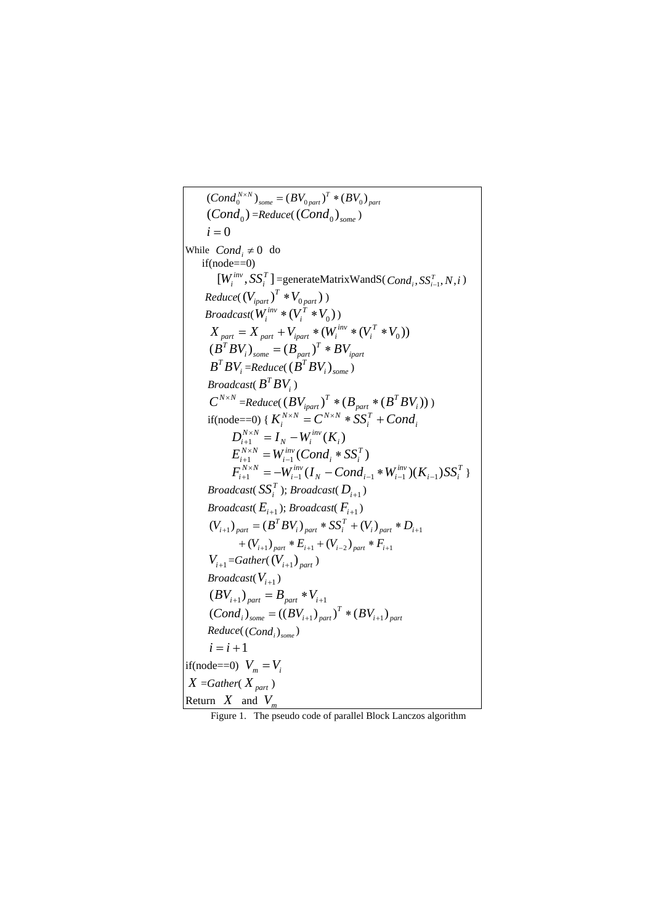$(Cond_0^{N\times N})_{some}=(BV_{0\,part})^T*(BV_0)_{part}$  $(Cond<sub>0</sub>)$  =Reduce( $(Cond<sub>0</sub>)<sub>some</sub>$ )  $i = 0$ While  $Cond_i \neq 0$  do  $if(node==0)$  $[W_i^{inv}, SS_i^T]$  = generateMatrixWandS( $Cond_i, SS_{i-1}^T, N, i$ )  $Reduce((V_{ipart})^T * V_{0\,part})$ ) *Broadcast*( $W_i^{inv} * (V_i^T * V_0)$ *i*  $V_i^{inv} * (V_i^T * V_0)$  $X_{part} = X_{part} + V_{ipart} * (W_i^{inv} * (V_i^T * V_0))$ *i*  $\hat{p}_{part} = X_{part} + V_{ipart} * (W_i^{inv} * (V_i^T)^*)$ *ipart T*  $(B^T B V_i)_{some} = (B_{part})^T * B V_i$  $B^T B V_i = Reduce((B^T B V_i)_{some})$ *Broadcast*( $B^T B V_i$ )  $C^{N\times N}$  = Reduce( $(BV_{ipart})^T*(B_{part}*(B^T B V_i))$  $BV_{ipart}^T$  \*  $(B_{part}^T * (B^T BV_i))$ if(node==0) {  $K_i^{N \times N} = C^{N \times N} * SS_i^T + Cond_i$  $K_i^{N \times N}$  =  $C^{N \times N}$  \*  $SS_i^T$  + Cond  $\frac{1}{i}^{N} = I_N - W_i^{inv}(K_i)$  $D_{i+1}^{N\times N} = I_N - W_i^{inv}(K)$  $T_1^{\times N} = W_{i-1}^{inv}(Cond_i * SS_i^T)$  $i$   $\sim$   $\omega_i$ *inv*  $E_{i+1}^{N \times N} = W_{i-1}^{inv}(Cond_i * SS_i^T)$ <br>  $E_{i}^{N \times N} = W_{i}^{inv}(I - Grad_i * W_{i}^{inv}(V_i) \setminus C_i^T)$  $i-1$ <sup> $j\omega$ </sup> $i$ *inv*  $N$   $\sim$   $\alpha$  $\mu_{i-1}$   $\cdot$   $\alpha$ <sub>i</sub> *inv*  $F_{i+1}^{N \times N} = -W_{i-1}^{inv}(I_N - Cond_{i-1} * W_{i-1}^{inv})(K_{i-1})SS_i^T$  } *Broadcast*( $SS_i^T$ ); *Broadcast*( $D_{i+1}$ ) *Broadcast*( $E_{i+1}$ ); *Broadcast*( $F_{i+1}$ )  $(V_{i+1})_{part} = (B^T B V_i)_{part} * S S_i^T + (V_i)_{part} * D_{i+1}$  $+(V_{i+1})_{part}*E_{i+1}+(V_{i-2})_{part}*F_{i+1}$  $V_{i+1}$ =*Gather*( $(V_{i+1})_{part}$ ) *Broadcast*( $V_{i+1}$ )  $(BV_{i+1})_{part} = B_{part} * V_{i+1}$  $(Cond_i)_{some} = ((BV_{i+1})_{part})^T * (BV_{i+1})_{part}$  $Reduce((Cond_i)_{some})$  $i = i + 1$ if(node==0)  $V_m = V_i$  $X = Gather(X_{part})$ Return  $X$  and  $V_n$ 

Figure 1. The pseudo code of parallel Block Lanczos algorithm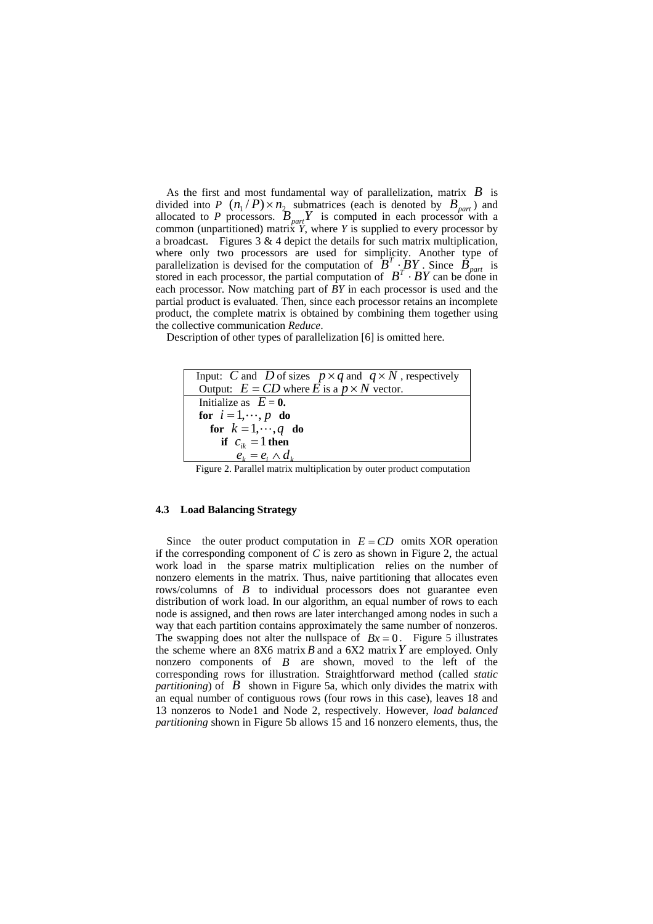As the first and most fundamental way of parallelization, matrix *B* is divided into *P*  $(n_1/P) \times n_2$  submatrices (each is denoted by  $B_{part}$ ) and allocated to *P* processors.  $B_{part}Y$  is computed in each processor with a common (unpartitioned) matrix  $\overline{Y}$ , where  $\overline{Y}$  is supplied to every processor by a broadcast. Figures  $3 \& 4$  depict the details for such matrix multiplication, where only two processors are used for simplicity. Another type of parallelization is devised for the computation of  $B^T \cdot BY$ . Since  $B_{part}$  is stored in each processor, the partial computation of  $B^T \cdot BY$  can be done in each processor. Now matching part of *BY* in each processor is used and the partial product is evaluated. Then, since each processor retains an incomplete product, the complete matrix is obtained by combining them together using the collective communication *Reduce*.

Description of other types of parallelization [6] is omitted here.

| Input: C and D of sizes $p \times q$ and $q \times N$ , respectively |
|----------------------------------------------------------------------|
| Output: $E = CD$ where E is a $p \times N$ vector.                   |
| Initialize as $E = 0$ .                                              |
| for $i=1,\dots, p$ do                                                |
| for $k = 1, \dots, q$ do                                             |
| if $c_{ik} = 1$ then                                                 |
| $e_i = e_i \wedge d_k$                                               |
| .                                                                    |

Figure 2. Parallel matrix multiplication by outer product computation

#### **4.3 Load Balancing Strategy**

Since the outer product computation in  $E = CD$  omits XOR operation if the corresponding component of *C* is zero as shown in Figure 2, the actual work load in the sparse matrix multiplication relies on the number of nonzero elements in the matrix. Thus, naive partitioning that allocates even rows/columns of *B* to individual processors does not guarantee even distribution of work load. In our algorithm, an equal number of rows to each node is assigned, and then rows are later interchanged among nodes in such a way that each partition contains approximately the same number of nonzeros. The swapping does not alter the nullspace of  $Bx = 0$ . Figure 5 illustrates the scheme where an 8X6 matrix *B* and a 6X2 matrix*Y* are employed. Only nonzero components of *B* are shown, moved to the left of the corresponding rows for illustration. Straightforward method (called *static partitioning*) of *B* shown in Figure 5a, which only divides the matrix with an equal number of contiguous rows (four rows in this case), leaves 18 and 13 nonzeros to Node1 and Node 2, respectively. However, *load balanced partitioning* shown in Figure 5b allows 15 and 16 nonzero elements, thus, the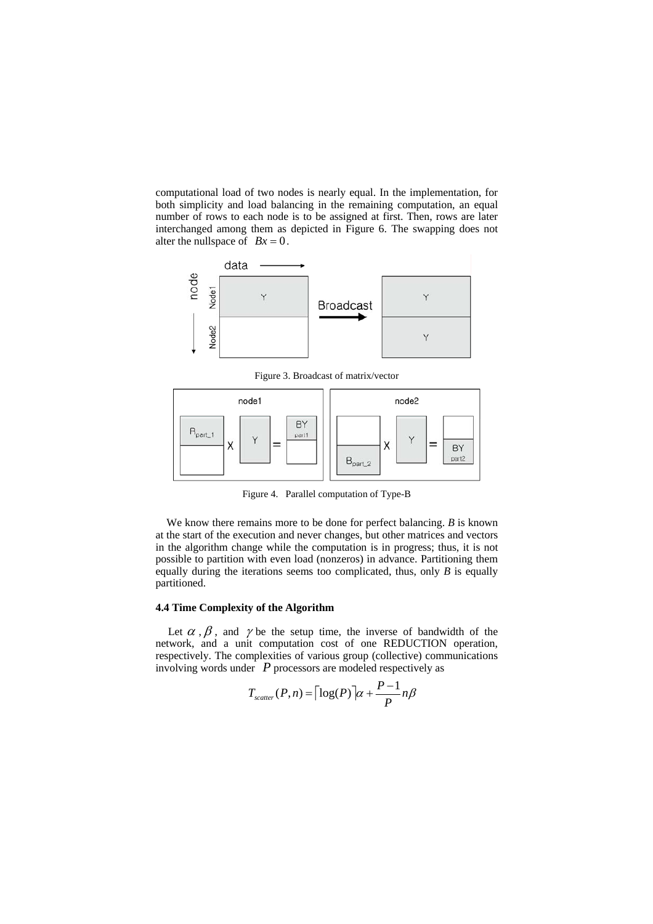computational load of two nodes is nearly equal. In the implementation, for both simplicity and load balancing in the remaining computation, an equal number of rows to each node is to be assigned at first. Then, rows are later interchanged among them as depicted in Figure 6. The swapping does not alter the nullspace of  $Bx = 0$ .



Figure 3. Broadcast of matrix/vector



Figure 4. Parallel computation of Type-B

We know there remains more to be done for perfect balancing. *B* is known at the start of the execution and never changes, but other matrices and vectors in the algorithm change while the computation is in progress; thus, it is not possible to partition with even load (nonzeros) in advance. Partitioning them equally during the iterations seems too complicated, thus, only *B* is equally partitioned.

#### **4.4 Time Complexity of the Algorithm**

Let  $\alpha$ ,  $\beta$ , and  $\gamma$  be the setup time, the inverse of bandwidth of the network, and a unit computation cost of one REDUCTION operation, respectively. The complexities of various group (collective) communications involving words under *P* processors are modeled respectively as

$$
T_{scatter}(P,n) = \lceil \log(P) \rceil \alpha + \frac{P-1}{P} n \beta
$$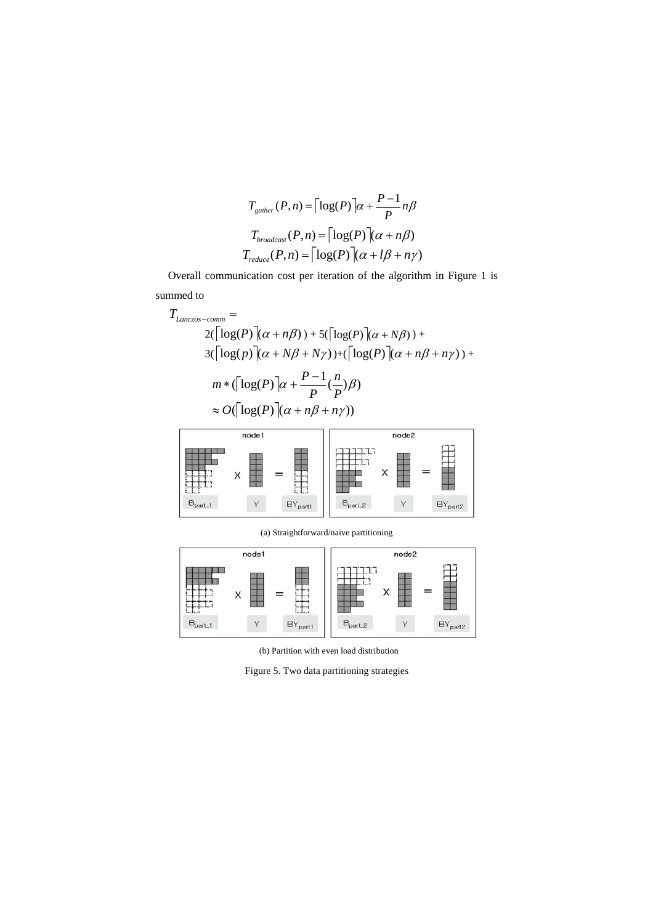$$
T_{\text{gather}}(P, n) = \left\lceil \log(P) \right\rceil \alpha + \frac{P - 1}{P} n\beta
$$

$$
T_{\text{broadcas}}(P, n) = \left\lceil \log(P) \right\rceil (\alpha + n\beta)
$$

$$
T_{\text{reduce}}(P, n) = \left\lceil \log(P) \right\rceil (\alpha + l\beta + n\gamma)
$$

Overall communication cost per iteration of the algorithm in Figure 1 is summed to

$$
T_{Lanczos-comm} =
$$
  
\n
$$
2(\lceil \log(P) \rceil (\alpha + n\beta) ) + 5(\lceil \log(P) \rceil (\alpha + N\beta) ) +
$$
  
\n
$$
3(\lceil \log(p) \rceil (\alpha + N\beta + N\gamma) ) + (\lceil \log(P) \rceil (\alpha + n\beta + n\gamma) ) +
$$
  
\n
$$
m * (\lceil \log(P) \rceil (\alpha + N\beta + n\gamma))
$$
  
\n
$$
\approx O(\lceil \log(P) \rceil (\alpha + n\beta + n\gamma))
$$



(a) Straightforward/naive partitioning



(b) Partition with even load distribution

Figure 5. Two data partitioning strategies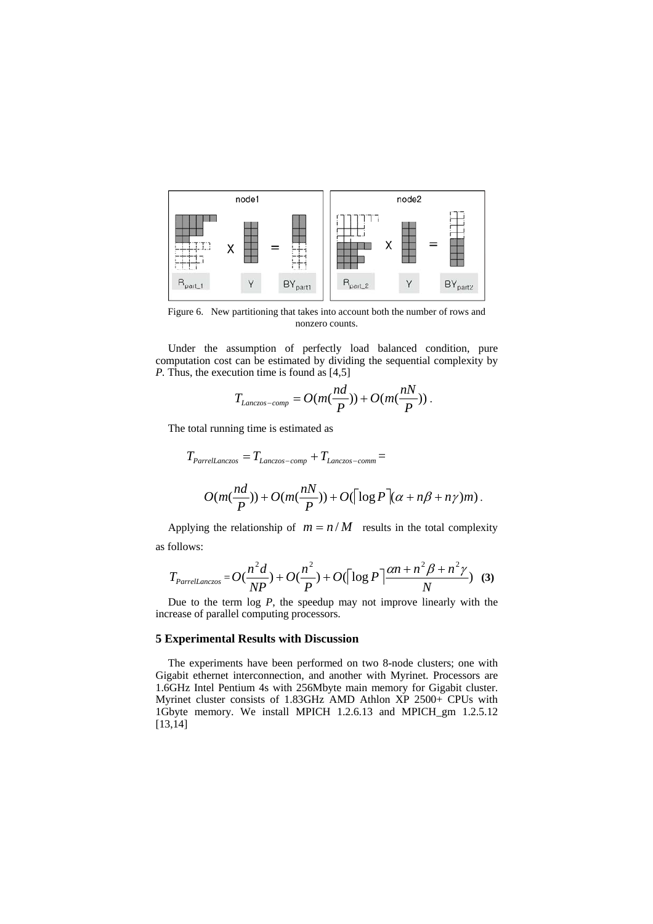

Figure 6. New partitioning that takes into account both the number of rows and nonzero counts.

Under the assumption of perfectly load balanced condition, pure computation cost can be estimated by dividing the sequential complexity by *P.* Thus, the execution time is found as [4,5]

$$
T_{Lanczos-comp} = O(m(\frac{nd}{P})) + O(m(\frac{nN}{P}))
$$

The total running time is estimated as

$$
T_{ParrelLanczos} = T_{Lanczos-comp} + T_{Lanczos-comm} =
$$
  

$$
O(m(\frac{nd}{P})) + O(m(\frac{nN}{P})) + O(\lceil \log P \rceil (\alpha + n\beta + n\gamma)m).
$$

Applying the relationship of  $m = n/M$  results in the total complexity as follows:

$$
T_{\text{Parrell.} \alpha \text{rcs}} = O(\frac{n^2 d}{NP}) + O(\frac{n^2}{P}) + O(\lceil \log P \rceil \frac{\alpha n + n^2 \beta + n^2 \gamma}{N}) \quad (3)
$$

Due to the term log *P*, the speedup may not improve linearly with the increase of parallel computing processors.

## **5 Experimental Results with Discussion**

The experiments have been performed on two 8-node clusters; one with Gigabit ethernet interconnection, and another with Myrinet. Processors are 1.6GHz Intel Pentium 4s with 256Mbyte main memory for Gigabit cluster. Myrinet cluster consists of 1.83GHz AMD Athlon XP 2500+ CPUs with 1Gbyte memory. We install MPICH 1.2.6.13 and MPICH\_gm 1.2.5.12 [13,14]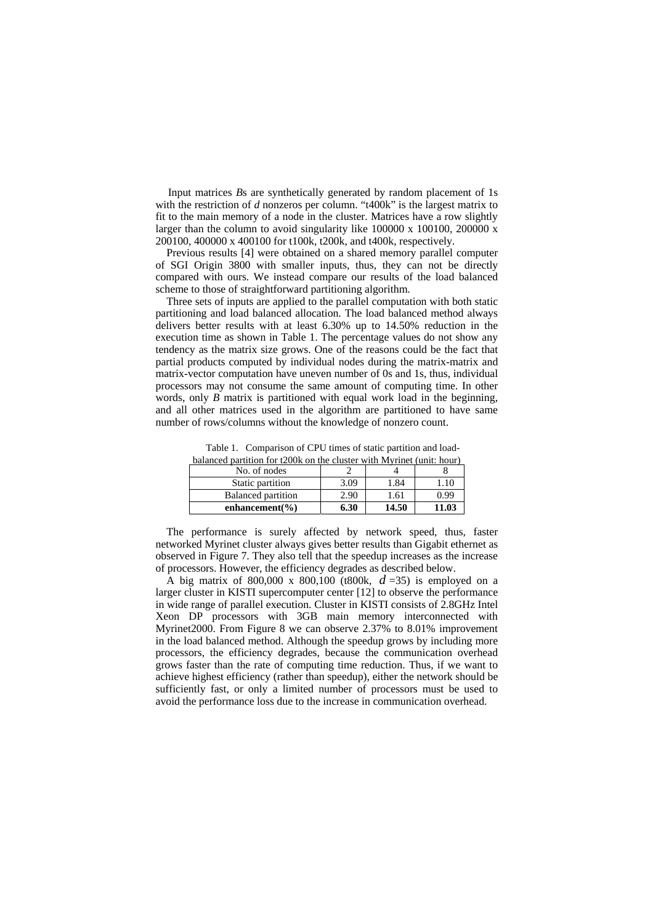Input matrices *B*s are synthetically generated by random placement of 1s with the restriction of *d* nonzeros per column. "t400k" is the largest matrix to fit to the main memory of a node in the cluster. Matrices have a row slightly larger than the column to avoid singularity like 100000 x 100100, 200000 x 200100, 400000 x 400100 for t100k, t200k, and t400k, respectively.

Previous results [4] were obtained on a shared memory parallel computer of SGI Origin 3800 with smaller inputs, thus, they can not be directly compared with ours. We instead compare our results of the load balanced scheme to those of straightforward partitioning algorithm.

Three sets of inputs are applied to the parallel computation with both static partitioning and load balanced allocation. The load balanced method always delivers better results with at least 6.30% up to 14.50% reduction in the execution time as shown in Table 1. The percentage values do not show any tendency as the matrix size grows. One of the reasons could be the fact that partial products computed by individual nodes during the matrix-matrix and matrix-vector computation have uneven number of 0s and 1s, thus, individual processors may not consume the same amount of computing time. In other words, only *B* matrix is partitioned with equal work load in the beginning, and all other matrices used in the algorithm are partitioned to have same number of rows/columns without the knowledge of nonzero count.

| balanced partition for t200k on the cluster with Myrinet (unit: hour) |  | Table 1. Comparison of CPU times of static partition and load- |  |  |  |  |
|-----------------------------------------------------------------------|--|----------------------------------------------------------------|--|--|--|--|
|                                                                       |  |                                                                |  |  |  |  |

| No. of nodes              |      |       |       |
|---------------------------|------|-------|-------|
| Static partition          | 3.09 | .84   | .10   |
| <b>Balanced partition</b> | 2.90 | 1.61  | 0.99  |
| enhancement( $\%$ )       | 6.30 | 14.50 | 11.03 |

The performance is surely affected by network speed, thus, faster networked Myrinet cluster always gives better results than Gigabit ethernet as observed in Figure 7. They also tell that the speedup increases as the increase of processors. However, the efficiency degrades as described below.

A big matrix of 800,000 x 800,100 (t800k,  $d = 35$ ) is employed on a larger cluster in KISTI supercomputer center [12] to observe the performance in wide range of parallel execution. Cluster in KISTI consists of 2.8GHz Intel Xeon DP processors with 3GB main memory interconnected with Myrinet2000. From Figure 8 we can observe 2.37% to 8.01% improvement in the load balanced method. Although the speedup grows by including more processors, the efficiency degrades, because the communication overhead grows faster than the rate of computing time reduction. Thus, if we want to achieve highest efficiency (rather than speedup), either the network should be sufficiently fast, or only a limited number of processors must be used to avoid the performance loss due to the increase in communication overhead.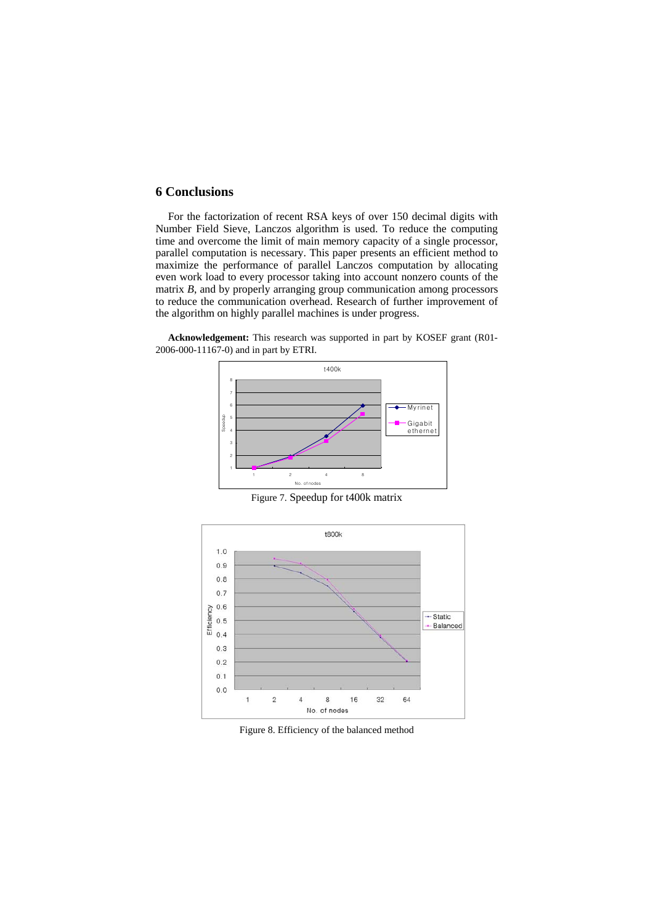# **6 Conclusions**

For the factorization of recent RSA keys of over 150 decimal digits with Number Field Sieve, Lanczos algorithm is used. To reduce the computing time and overcome the limit of main memory capacity of a single processor, parallel computation is necessary. This paper presents an efficient method to maximize the performance of parallel Lanczos computation by allocating even work load to every processor taking into account nonzero counts of the matrix *B*, and by properly arranging group communication among processors to reduce the communication overhead. Research of further improvement of the algorithm on highly parallel machines is under progress.

**Acknowledgement:** This research was supported in part by KOSEF grant (R01- 2006-000-11167-0) and in part by ETRI.



Figure 7. Speedup for t400k matrix



Figure 8. Efficiency of the balanced method